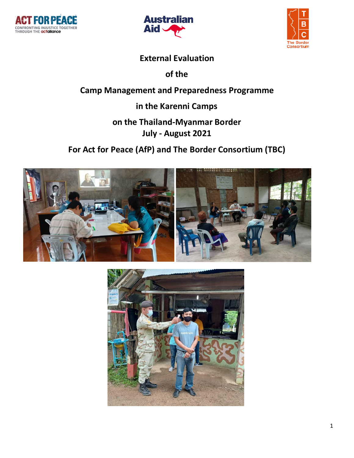





### **External Evaluation**

**of the**

### **Camp Management and Preparedness Programme**

**in the Karenni Camps**

### **on the Thailand-Myanmar Border July - August 2021**

## **For Act for Peace (AfP) and The Border Consortium (TBC)**



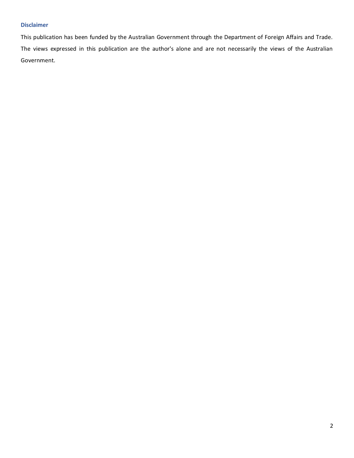#### **Disclaimer**

This publication has been funded by the Australian Government through the Department of Foreign Affairs and Trade. The views expressed in this publication are the author's alone and are not necessarily the views of the Australian Government.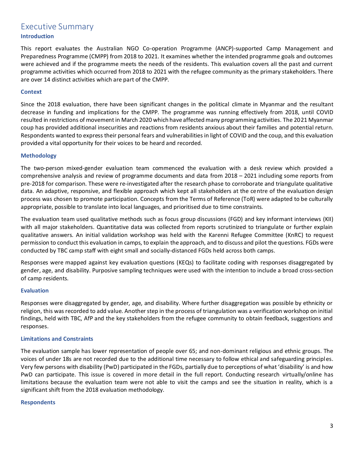# Executive Summary

#### **Introduction**

This report evaluates the Australian NGO Co-operation Programme (ANCP)-supported Camp Management and Preparedness Programme (CMPP) from 2018 to 2021. It examines whether the intended programme goals and outcomes were achieved and if the programme meets the needs of the residents. This evaluation covers all the past and current programme activities which occurred from 2018 to 2021 with the refugee community as the primary stakeholders. There are over 14 distinct activities which are part of the CMPP.

#### **Context**

Since the 2018 evaluation, there have been significant changes in the political climate in Myanmar and the resultant decrease in funding and implications for the CMPP. The programme was running effectively from 2018, until COVID resulted in restrictions of movement in March 2020 which have affected many programming activities. The 2021 Myanmar coup has provided additional insecurities and reactions from residents anxious about their families and potential return. Respondents wanted to express their personal fears and vulnerabilities in light of COVID and the coup, and this evaluation provided a vital opportunity for their voices to be heard and recorded.

#### **Methodology**

The two-person mixed-gender evaluation team commenced the evaluation with a desk review which provided a comprehensive analysis and review of programme documents and data from 2018 – 2021 including some reports from pre-2018 for comparison. These were re-investigated after the research phase to corroborate and triangulate qualitative data. An adaptive, responsive, and flexible approach which kept all stakeholders at the centre of the evaluation design process was chosen to promote participation. Concepts from the Terms of Reference (ToR) were adapted to be culturally appropriate, possible to translate into local languages, and prioritised due to time constraints.

The evaluation team used qualitative methods such as focus group discussions (FGD) and key informant interviews (KII) with all major stakeholders. Quantitative data was collected from reports scrutinized to triangulate or further explain qualitative answers. An initial validation workshop was held with the Karenni Refugee Committee (KnRC) to request permission to conduct this evaluation in camps, to explain the approach, and to discuss and pilot the questions. FGDs were conducted by TBC camp staff with eight small and socially-distanced FGDs held across both camps.

Responses were mapped against key evaluation questions (KEQs) to facilitate coding with responses disaggregated by gender, age, and disability. Purposive sampling techniques were used with the intention to include a broad cross-section of camp residents.

#### **Evaluation**

Responses were disaggregated by gender, age, and disability. Where further disaggregation was possible by ethnicity or religion, this was recorded to add value. Another step in the process of triangulation was a verification workshop on initial findings, held with TBC, AfP and the key stakeholders from the refugee community to obtain feedback, suggestions and responses.

#### **Limitations and Constraints**

The evaluation sample has lower representation of people over 65; and non-dominant religious and ethnic groups. The voices of under 18s are not recorded due to the additional time necessary to follow ethical and safeguarding principles. Very few persons with disability (PwD) participated in the FGDs, partially due to perceptions of what 'disability' is and how PwD can participate. This issue is covered in more detail in the full report. Conducting research virtually/online has limitations because the evaluation team were not able to visit the camps and see the situation in reality, which is a significant shift from the 2018 evaluation methodology.

#### **Respondents**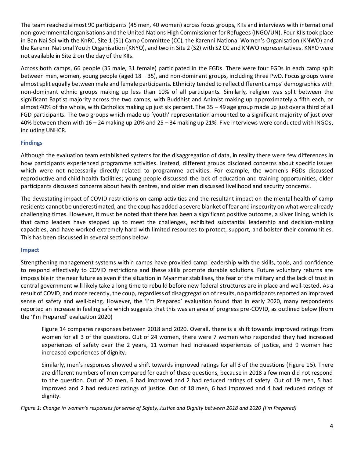The team reached almost 90 participants (45 men, 40 women) across focus groups, KIIs and interviews with international non-governmental organisations and the United Nations High Commissioner for Refugees (INGO/UN). Four KIIs took place in Ban Nai Soi with the KnRC, Site 1 (S1) Camp Committee (CC), the Karenni National Women's Organisation (KNWO) and the Karenni National Youth Organisation (KNYO), and two in Site 2 (S2) with S2 CC and KNWO representatives. KNYO were not available in Site 2 on the day of the KIIs.

Across both camps, 66 people (35 male, 31 female) participated in the FGDs. There were four FGDs in each camp split between men, women, young people (aged 18 – 35), and non-dominant groups, including three PwD. Focus groups were almost split equally between male and female participants. Ethnicity tended to reflect different camps' demographics with non-dominant ethnic groups making up less than 10% of all participants. Similarly, religion was split between the significant Baptist majority across the two camps, with Buddhist and Animist making up approximately a fifth each, or almost 40% of the whole, with Catholics making up just six percent. The 35 – 49 age group made up just over a third of all FGD participants. The two groups which made up 'youth' representation amounted to a significant majority of just over 40% between them with 16 – 24 making up 20% and 25 – 34 making up 21%. Five interviews were conducted with INGOs, including UNHCR.

#### **Findings**

Although the evaluation team established systems for the disaggregation of data, in reality there were few differences in how participants experienced programme activities. Instead, different groups disclosed concerns about specific issues which were not necessarily directly related to programme activities. For example, the women's FGDs discussed reproductive and child health facilities; young people discussed the lack of education and training opportunities, older participants discussed concerns about health centres, and older men discussed livelihood and security concerns.

The devastating impact of COVID restrictions on camp activities and the resultant impact on the mental health of camp residents cannot be underestimated, and the coup has added a severe blanket of fear and insecurity on what were already challenging times. However, it must be noted that there has been a significant positive outcome, a silver lining, which is that camp leaders have stepped up to meet the challenges, exhibited substantial leadership and decision-making capacities, and have worked extremely hard with limited resources to protect, support, and bolster their communities. This has been discussed in several sections below.

#### **Impact**

Strengthening management systems within camps have provided camp leadership with the skills, tools, and confidence to respond effectively to COVID restrictions and these skills promote durable solutions. Future voluntary returns are impossible in the near future as even if the situation in Myanmar stabilises, the fear of the military and the lack of trust in central government will likely take a long time to rebuild before new federal structures are in place and well-tested. As a result of COVID, and more recently, the coup, regardless of disaggregation of results, no participants reported an improved sense of safety and well-being. However, the 'I'm Prepared' evaluation found that in early 2020, many respondents reported an increase in feeling safe which suggests that this was an area of progress pre-COVID, as outlined below (from the 'I'm Prepared' evaluation 2020)

Figure 14 compares responses between 2018 and 2020. Overall, there is a shift towards improved ratings from women for all 3 of the questions. Out of 24 women, there were 7 women who responded they had increased experiences of safety over the 2 years, 11 women had increased experiences of justice, and 9 women had increased experiences of dignity.

Similarly, men's responses showed a shift towards improved ratings for all 3 of the questions (Figure 15). There are different numbers of men compared for each of these questions, because in 2018 a few men did not respond to the question. Out of 20 men, 6 had improved and 2 had reduced ratings of safety. Out of 19 men, 5 had improved and 2 had reduced ratings of justice. Out of 18 men, 6 had improved and 4 had reduced ratings of dignity.

*Figure 1: Change in women's responses for sense of Safety, Justice and Dignity between 2018 and 2020 (I'm Prepared)*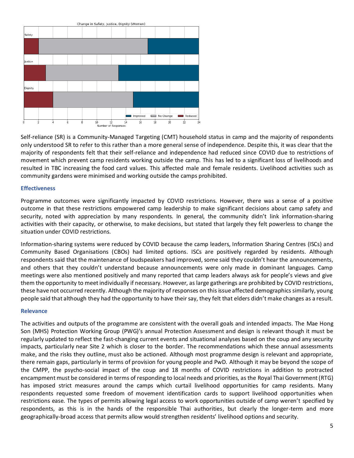

Self-reliance (SR) is a Community-Managed Targeting (CMT) household status in camp and the majority of respondents only understood SR to refer to this rather than a more general sense of independence. Despite this, it was clear that the majority of respondents felt that their self-reliance and independence had reduced since COVID due to restrictions of movement which prevent camp residents working outside the camp. This has led to a significant loss of livelihoods and resulted in TBC increasing the food card values. This affected male and female residents. Livelihood activities such as community gardens were minimised and working outside the camps prohibited.

#### **Effectiveness**

Programme outcomes were significantly impacted by COVID restrictions. However, there was a sense of a positive outcome in that these restrictions empowered camp leadership to make significant decisions about camp safety and security, noted with appreciation by many respondents. In general, the community didn't link information-sharing activities with their capacity, or otherwise, to make decisions, but stated that largely they felt powerless to change the situation under COVID restrictions.

Information-sharing systems were reduced by COVID because the camp leaders, Information Sharing Centres (ISCs) and Community Based Organisations (CBOs) had limited options. ISCs are positively regarded by residents. Although respondents said that the maintenance of loudspeakers had improved, some said they couldn't hear the announcements, and others that they couldn't understand because announcements were only made in dominant languages. Camp meetings were also mentioned positively and many reported that camp leaders always ask for people's views and give them the opportunity to meet individually if necessary. However, as large gatherings are prohibited by COVID restrictions, these have not occurred recently. Although the majority of responses on this issue affected demographics similarly, young people said that although they had the opportunity to have their say, they felt that elders didn't make changes as a result.

#### **Relevance**

The activities and outputs of the programme are consistent with the overall goals and intended impacts. The Mae Hong Son (MHS) Protection Working Group (PWG)'s annual Protection Assessment and design is relevant though it must be regularly updated to reflect the fast-changing current events and situational analyses based on the coup and any security impacts, particularly near Site 2 which is closer to the border. The recommendations which these annual assessments make, and the risks they outline, must also be actioned. Although most programme design is relevant and appropriate, there remain gaps, particularly in terms of provision for young people and PwD. Although it may be beyond the scope of the CMPP, the psycho-social impact of the coup and 18 months of COVID restrictions in addition to protracted encampment must be considered in terms of responding to local needs and priorities, as the Royal Thai Government (RTG) has imposed strict measures around the camps which curtail livelihood opportunities for camp residents. Many respondents requested some freedom of movement identification cards to support livelihood opportunities when restrictions ease. The types of permits allowing legal access to work opportunities outside of camp weren't specified by respondents, as this is in the hands of the responsible Thai authorities, but clearly the longer-term and more geographically-broad access that permits allow would strengthen residents' livelihood options and security.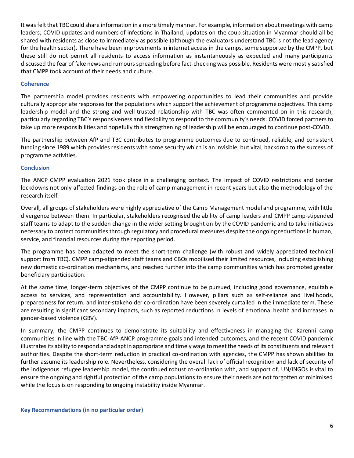It was felt that TBC could share information in a more timely manner. For example, information about meetings with camp leaders; COVID updates and numbers of infections in Thailand; updates on the coup situation in Myanmar should all be shared with residents as close to immediately as possible (although the evaluators understand TBC is not the lead agency for the health sector). There have been improvements in internet access in the camps, some supported by the CMPP, but these still do not permit all residents to access information as instantaneously as expected and many participants discussed the fear of fake news and rumours spreading before fact-checking was possible. Residents were mostly satisfied that CMPP took account of their needs and culture.

#### **Coherence**

The partnership model provides residents with empowering opportunities to lead their communities and provide culturally appropriate responses for the populations which support the achievement of programme objectives. This camp leadership model and the strong and well-trusted relationship with TBC was often commented on in this research, particularly regarding TBC's responsiveness and flexibility to respond to the community's needs. COVID forced partners to take up more responsibilities and hopefully this strengthening of leadership will be encouraged to continue post-COVID.

The partnership between AfP and TBC contributes to programme outcomes due to continued, reliable, and consistent funding since 1989 which provides residents with some security which is an invisible, but vital, backdrop to the success of programme activities.

#### **Conclusion**

The ANCP CMPP evaluation 2021 took place in a challenging context. The impact of COVID restrictions and border lockdowns not only affected findings on the role of camp management in recent years but also the methodology of the research itself.

Overall, all groups of stakeholders were highly appreciative of the Camp Management model and programme, with little divergence between them. In particular, stakeholders recognised the ability of camp leaders and CMPP camp-stipended staff teams to adapt to the sudden change in the wider setting brought on by the COVID pandemic and to take initiatives necessary to protect communities through regulatory and procedural measures despite the ongoing reductions in human, service, and financial resources during the reporting period.

The programme has been adapted to meet the short-term challenge (with robust and widely appreciated technical support from TBC). CMPP camp-stipended staff teams and CBOs mobilised their limited resources, including establishing new domestic co-ordination mechanisms, and reached further into the camp communities which has promoted greater beneficiary participation.

At the same time, longer-term objectives of the CMPP continue to be pursued, including good governance, equitable access to services, and representation and accountability. However, pillars such as self-reliance and livelihoods, preparedness for return, and inter-stakeholder co-ordination have been severely curtailed in the immediate term. These are resulting in significant secondary impacts, such as reported reductions in levels of emotional health and increases in gender-based violence (GBV).

In summary, the CMPP continues to demonstrate its suitability and effectiveness in managing the Karenni camp communities in line with the TBC-AfP-ANCP programme goals and intended outcomes, and the recent COVID pandemic illustrates its ability to respond and adapt in appropriate and timely ways to meet the needs of its constituents and relevant authorities. Despite the short-term reduction in practical co-ordination with agencies, the CMPP has shown abilities to further assume its leadership role. Nevertheless, considering the overall lack of official recognition and lack of security of the indigenous refugee leadership model, the continued robust co-ordination with, and support of, UN/INGOs is vital to ensure the ongoing and rightful protection of the camp populations to ensure their needs are not forgotten or minimised while the focus is on responding to ongoing instability inside Myanmar.